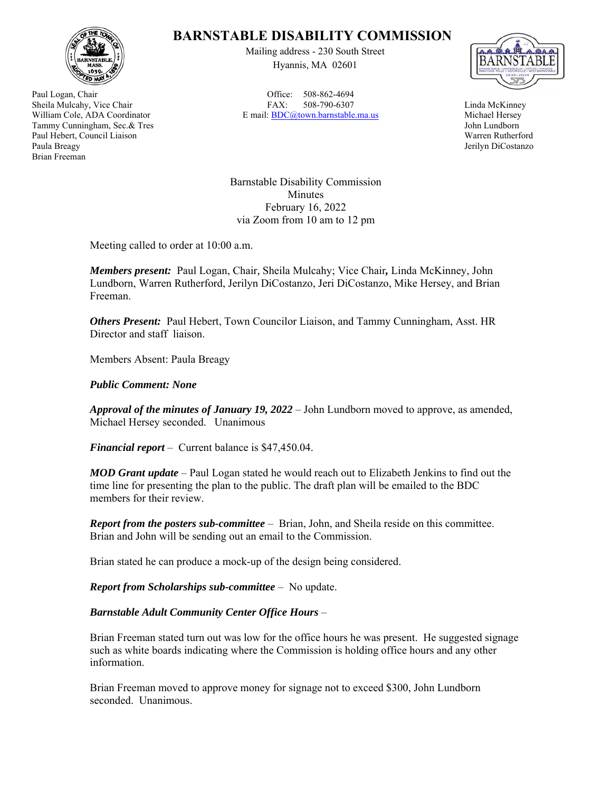

Paul Logan, Chair Sheila Mulcahy, Vice Chair William Cole, ADA Coordinator Tammy Cunningham, Sec.& Tres Paul Hebert, Council Liaison Paula Breagy Brian Freeman

## **BARNSTABLE DISABILITY COMMISSION**

Mailing address - 230 South Street Hyannis, MA 02601

Office: 508-862-4694 FAX: 508-790-6307 E mail: BDC@town.barnstable.ma.us



Linda McKinney Michael Hersey John Lundborn Warren Rutherford Jerilyn DiCostanzo

Barnstable Disability Commission Minutes February 16, 2022 via Zoom from 10 am to 12 pm

Meeting called to order at 10:00 a.m.

*Members present:* Paul Logan, Chair*,* Sheila Mulcahy; Vice Chair*,* Linda McKinney, John Lundborn, Warren Rutherford, Jerilyn DiCostanzo, Jeri DiCostanzo, Mike Hersey, and Brian Freeman.

*Others Present:* Paul Hebert, Town Councilor Liaison, and Tammy Cunningham, Asst. HR Director and staff liaison.

Members Absent: Paula Breagy

*Public Comment: None* 

*Approval of the minutes of January 19, 2022* – John Lundborn moved to approve, as amended, Michael Hersey seconded. Unanimous

*Financial report* – Current balance is \$47,450.04.

*MOD Grant update* – Paul Logan stated he would reach out to Elizabeth Jenkins to find out the time line for presenting the plan to the public. The draft plan will be emailed to the BDC members for their review.

*Report from the posters sub-committee* – Brian, John, and Sheila reside on this committee. Brian and John will be sending out an email to the Commission.

Brian stated he can produce a mock-up of the design being considered.

*Report from Scholarships sub-committee* – No update.

*Barnstable Adult Community Center Office Hours* –

Brian Freeman stated turn out was low for the office hours he was present. He suggested signage such as white boards indicating where the Commission is holding office hours and any other information.

Brian Freeman moved to approve money for signage not to exceed \$300, John Lundborn seconded. Unanimous.